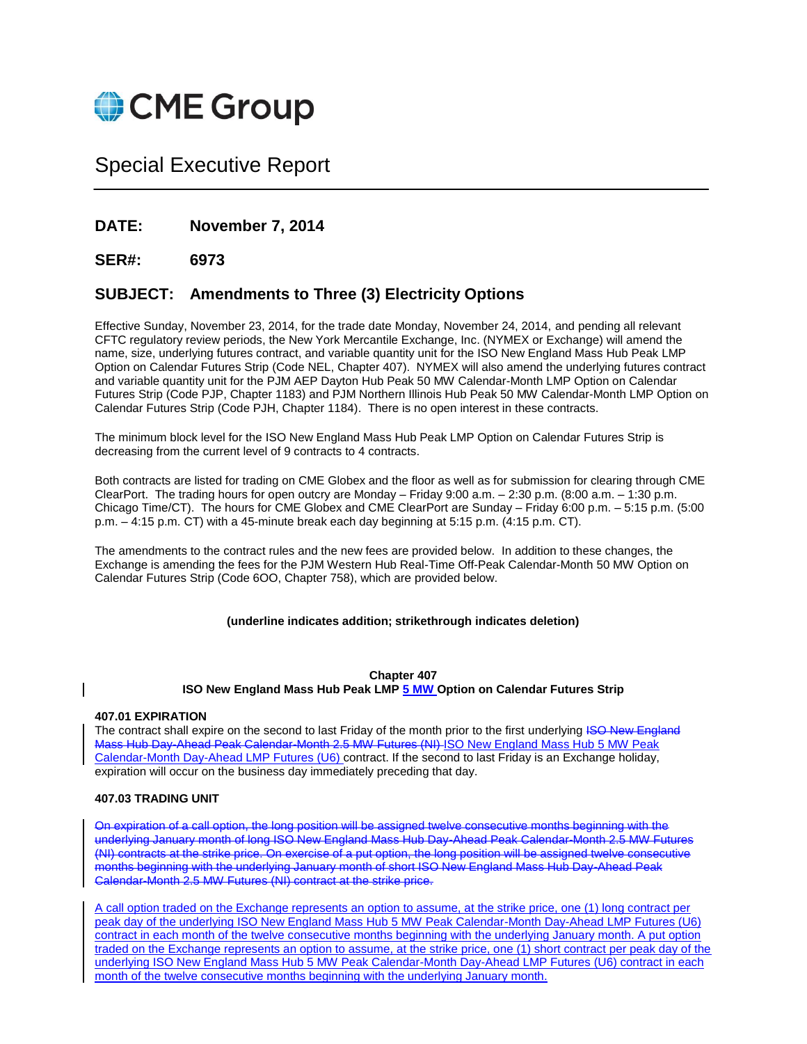

# Special Executive Report

# **DATE: November 7, 2014**

# **SER#: 6973**

# **SUBJECT: Amendments to Three (3) Electricity Options**

Effective Sunday, November 23, 2014, for the trade date Monday, November 24, 2014, and pending all relevant CFTC regulatory review periods, the New York Mercantile Exchange, Inc. (NYMEX or Exchange) will amend the name, size, underlying futures contract, and variable quantity unit for the ISO New England Mass Hub Peak LMP Option on Calendar Futures Strip (Code NEL, Chapter 407). NYMEX will also amend the underlying futures contract and variable quantity unit for the PJM AEP Dayton Hub Peak 50 MW Calendar-Month LMP Option on Calendar Futures Strip (Code PJP, Chapter 1183) and PJM Northern Illinois Hub Peak 50 MW Calendar-Month LMP Option on Calendar Futures Strip (Code PJH, Chapter 1184). There is no open interest in these contracts.

The minimum block level for the ISO New England Mass Hub Peak LMP Option on Calendar Futures Strip is decreasing from the current level of 9 contracts to 4 contracts.

Both contracts are listed for trading on CME Globex and the floor as well as for submission for clearing through CME ClearPort. The trading hours for open outcry are Monday – Friday 9:00 a.m. – 2:30 p.m. (8:00 a.m. – 1:30 p.m. Chicago Time/CT). The hours for CME Globex and CME ClearPort are Sunday – Friday 6:00 p.m. – 5:15 p.m. (5:00 p.m. – 4:15 p.m. CT) with a 45-minute break each day beginning at 5:15 p.m. (4:15 p.m. CT).

The amendments to the contract rules and the new fees are provided below. In addition to these changes, the Exchange is amending the fees for the PJM Western Hub Real-Time Off-Peak Calendar-Month 50 MW Option on Calendar Futures Strip (Code 6OO, Chapter 758), which are provided below.

# **(underline indicates addition; strikethrough indicates deletion)**

#### **Chapter 407**

# **ISO New England Mass Hub Peak LMP 5 MW Option on Calendar Futures Strip**

#### **407.01 EXPIRATION**

The contract shall expire on the second to last Friday of the month prior to the first underlying ISO New England Mass Hub Day-Ahead Peak Calendar-Month 2.5 MW Futures (NI) ISO New England Mass Hub 5 MW Peak Calendar-Month Day-Ahead LMP Futures (U6) contract. If the second to last Friday is an Exchange holiday, expiration will occur on the business day immediately preceding that day.

#### **407.03 TRADING UNIT**

On expiration of a call option, the long position will be assigned twelve consecutive months beginning with the underlying January month of long ISO New England Mass Hub Day-Ahead Peak Calendar-Month 2.5 MW Futures (NI) contracts at the strike price. On exercise of a put option, the long position will be assigned twelve consecutive months beginning with the underlying January month of short ISO New England Mass Hub Day-Ahead Peak Calendar-Month 2.5 MW Futures (NI) contract at the strike price.

A call option traded on the Exchange represents an option to assume, at the strike price, one (1) long contract per peak day of the underlying ISO New England Mass Hub 5 MW Peak Calendar-Month Day-Ahead LMP Futures (U6) contract in each month of the twelve consecutive months beginning with the underlying January month. A put option traded on the Exchange represents an option to assume, at the strike price, one (1) short contract per peak day of the underlying ISO New England Mass Hub 5 MW Peak Calendar-Month Day-Ahead LMP Futures (U6) contract in each month of the twelve consecutive months beginning with the underlying January month.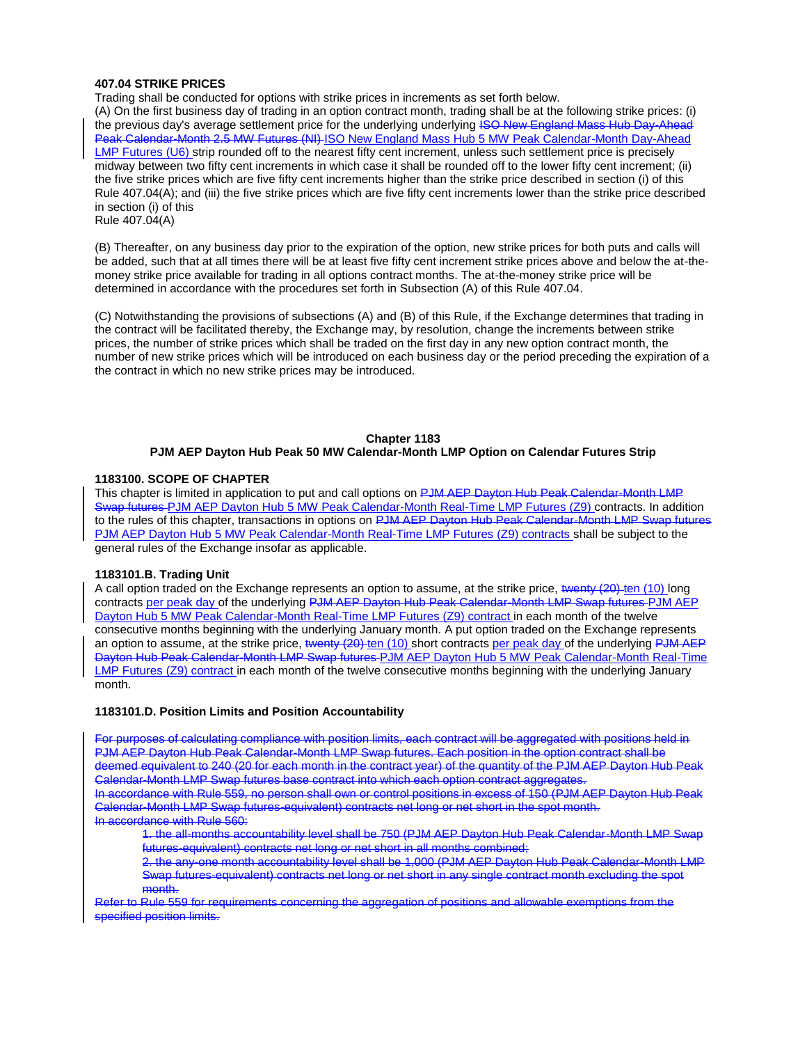#### **407.04 STRIKE PRICES**

Trading shall be conducted for options with strike prices in increments as set forth below.

(A) On the first business day of trading in an option contract month, trading shall be at the following strike prices: (i) the previous day's average settlement price for the underlying underlying ISO New England Mass Hub Day-Ahead Peak Calendar-Month 2.5 MW Futures (NI) ISO New England Mass Hub 5 MW Peak Calendar-Month Day-Ahead LMP Futures (U6) strip rounded off to the nearest fifty cent increment, unless such settlement price is precisely midway between two fifty cent increments in which case it shall be rounded off to the lower fifty cent increment; (ii) the five strike prices which are five fifty cent increments higher than the strike price described in section (i) of this Rule 407.04(A); and (iii) the five strike prices which are five fifty cent increments lower than the strike price described in section (i) of this

Rule 407.04(A)

(B) Thereafter, on any business day prior to the expiration of the option, new strike prices for both puts and calls will be added, such that at all times there will be at least five fifty cent increment strike prices above and below the at-themoney strike price available for trading in all options contract months. The at-the-money strike price will be determined in accordance with the procedures set forth in Subsection (A) of this Rule 407.04.

(C) Notwithstanding the provisions of subsections (A) and (B) of this Rule, if the Exchange determines that trading in the contract will be facilitated thereby, the Exchange may, by resolution, change the increments between strike prices, the number of strike prices which shall be traded on the first day in any new option contract month, the number of new strike prices which will be introduced on each business day or the period preceding the expiration of a the contract in which no new strike prices may be introduced.

# **Chapter 1183**

# **PJM AEP Dayton Hub Peak 50 MW Calendar-Month LMP Option on Calendar Futures Strip**

# **1183100. SCOPE OF CHAPTER**

This chapter is limited in application to put and call options on PJM AEP Dayton Hub Peak Calendar-Month LMP Swap futures PJM AEP Dayton Hub 5 MW Peak Calendar-Month Real-Time LMP Futures (Z9) contracts. In addition to the rules of this chapter, transactions in options on PJM AEP Dayton Hub Peak Calendar-Month LMP Swap futures PJM AEP Dayton Hub 5 MW Peak Calendar-Month Real-Time LMP Futures (Z9) contracts shall be subject to the general rules of the Exchange insofar as applicable.

#### **1183101.B. Trading Unit**

A call option traded on the Exchange represents an option to assume, at the strike price, twenty (20) ten (10) long contracts per peak day of the underlying PJM AEP Dayton Hub Peak Calendar-Month LMP Swap futures PJM AEP Dayton Hub 5 MW Peak Calendar-Month Real-Time LMP Futures (Z9) contract in each month of the twelve consecutive months beginning with the underlying January month. A put option traded on the Exchange represents an option to assume, at the strike price, twenty (20) ten (10) short contracts per peak day of the underlying PJM AEP Dayton Hub Peak Calendar-Month LMP Swap futures PJM AEP Dayton Hub 5 MW Peak Calendar-Month Real-Time LMP Futures (Z9) contract in each month of the twelve consecutive months beginning with the underlying January month.

# **1183101.D. Position Limits and Position Accountability**

For purposes of calculating compliance with position limits, each contract will be aggregated with positions held in PJM AEP Dayton Hub Peak Calendar-Month LMP Swap futures. Each position in the option contract shall be deemed equivalent to 240 (20 for each month in the contract year) of the quantity of the PJM AEP Dayton Hub Peak Calendar-Month LMP Swap futures base contract into which each option contract aggregates.

In accordance with Rule 559, no person shall own or control positions in excess of 150 (PJM AEP Dayton Hub Peak Calendar-Month LMP Swap futures-equivalent) contracts net long or net short in the spot month. In accordance with Rule 560:

1. the all-months accountability level shall be 750 (PJM AEP Dayton Hub Peak Calendar-Month LMP Swap futures-equivalent) contracts net long or net short in all months combined;

2. the any-one month accountability level shall be 1,000 (PJM AEP Dayton Hub Peak Calendar-Month LMP Swap futures-equivalent) contracts net long or net short in any single contract month excluding the spot month.

Refer to Rule 559 for requirements concerning the aggregation of positions and allowable exemptions from the specified position limits.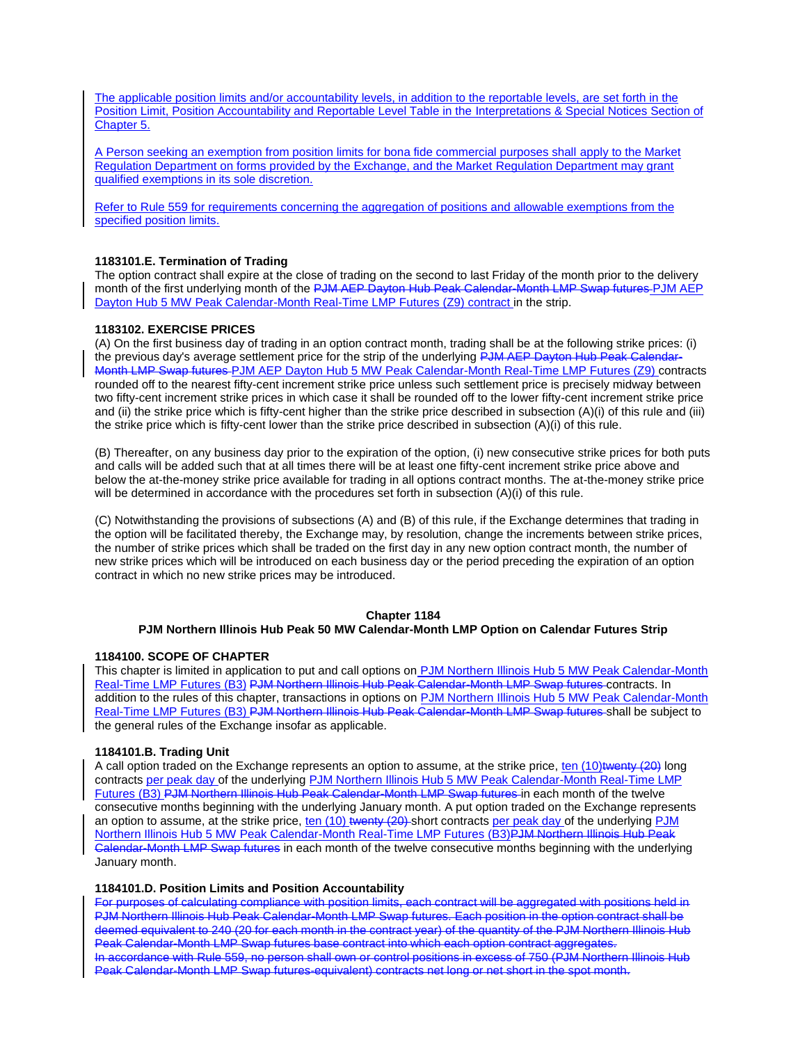The applicable position limits and/or accountability levels, in addition to the reportable levels, are set forth in the Position Limit, Position Accountability and Reportable Level Table in the Interpretations & Special Notices Section of Chapter 5.

A Person seeking an exemption from position limits for bona fide commercial purposes shall apply to the Market Regulation Department on forms provided by the Exchange, and the Market Regulation Department may grant qualified exemptions in its sole discretion.

Refer to Rule 559 for requirements concerning the aggregation of positions and allowable exemptions from the specified position limits.

## **1183101.E. Termination of Trading**

The option contract shall expire at the close of trading on the second to last Friday of the month prior to the delivery month of the first underlying month of the PJM AEP Dayton Hub Peak Calendar-Month LMP Swap futures PJM AEP Dayton Hub 5 MW Peak Calendar-Month Real-Time LMP Futures (Z9) contract in the strip.

# **1183102. EXERCISE PRICES**

(A) On the first business day of trading in an option contract month, trading shall be at the following strike prices: (i) the previous day's average settlement price for the strip of the underlying PJM AEP Dayton Hub Peak Ca Month LMP Swap futures PJM AEP Dayton Hub 5 MW Peak Calendar-Month Real-Time LMP Futures (Z9) contracts rounded off to the nearest fifty-cent increment strike price unless such settlement price is precisely midway between two fifty-cent increment strike prices in which case it shall be rounded off to the lower fifty-cent increment strike price and (ii) the strike price which is fifty-cent higher than the strike price described in subsection (A)(i) of this rule and (iii) the strike price which is fifty-cent lower than the strike price described in subsection (A)(i) of this rule.

(B) Thereafter, on any business day prior to the expiration of the option, (i) new consecutive strike prices for both puts and calls will be added such that at all times there will be at least one fifty-cent increment strike price above and below the at-the-money strike price available for trading in all options contract months. The at-the-money strike price will be determined in accordance with the procedures set forth in subsection (A)(i) of this rule.

(C) Notwithstanding the provisions of subsections (A) and (B) of this rule, if the Exchange determines that trading in the option will be facilitated thereby, the Exchange may, by resolution, change the increments between strike prices, the number of strike prices which shall be traded on the first day in any new option contract month, the number of new strike prices which will be introduced on each business day or the period preceding the expiration of an option contract in which no new strike prices may be introduced.

# **Chapter 1184**

# **PJM Northern Illinois Hub Peak 50 MW Calendar-Month LMP Option on Calendar Futures Strip**

#### **1184100. SCOPE OF CHAPTER**

This chapter is limited in application to put and call options on PJM Northern Illinois Hub 5 MW Peak Calendar-Month<br>Real-Time LMP Futures (B3) PJM Northern Illinois Hub Peak Calendar-Month LMP Swap futures contracts. In ern-Illinois Hub Peak Calendar-Month LMP Swap futures contracts. In addition to the rules of this chapter, transactions in options on PJM Northern Illinois Hub 5 MW Peak Calendar-Month Real-Time LMP Futures (B3) PJM Northern Illinois Hub Peak Calendar-Month LMP Swap futures shall be subject to the general rules of the Exchange insofar as applicable.

#### **1184101.B. Trading Unit**

A call option traded on the Exchange represents an option to assume, at the strike price, ten (10)twenty (20) long contracts per peak day of the underlying PJM Northern Illinois Hub 5 MW Peak Calendar-Month Real-Time LMP Futures (B3) PJM Northern Illinois Hub Peak Calendar-Month LMP Swap futures in each month of the twelve consecutive months beginning with the underlying January month. A put option traded on the Exchange represents an option to assume, at the strike price, ten (10) twenty (20) short contracts per peak day of the underlying PJM Northern Illinois Hub 5 MW Peak Calendar-Month Real-Time LMP Futures (B3)PJM Northern Illinois Hub Peak Calendar-Month LMP Swap futures in each month of the twelve consecutive months beginning with the underlying January month.

#### **1184101.D. Position Limits and Position Accountability**

For purposes of calculating compliance with position limits, each contract will be aggregated with positions held in PJM Northern Illinois Hub Peak Calendar-Month LMP Swap futures. Each position in the option contract shall be deemed equivalent to 240 (20 for each month in the contract year) of the quantity of the PJM Northern Illinois Hub Peak Calendar-Month LMP Swap futures base contract into which each option contract aggregates. In accordance with Rule 559, no person shall own or control positions in excess of 750 (PJM Northern Illinois Hub Peak Calendar-Month LMP Swap futures-equivalent) contracts net long or net short in the spot month.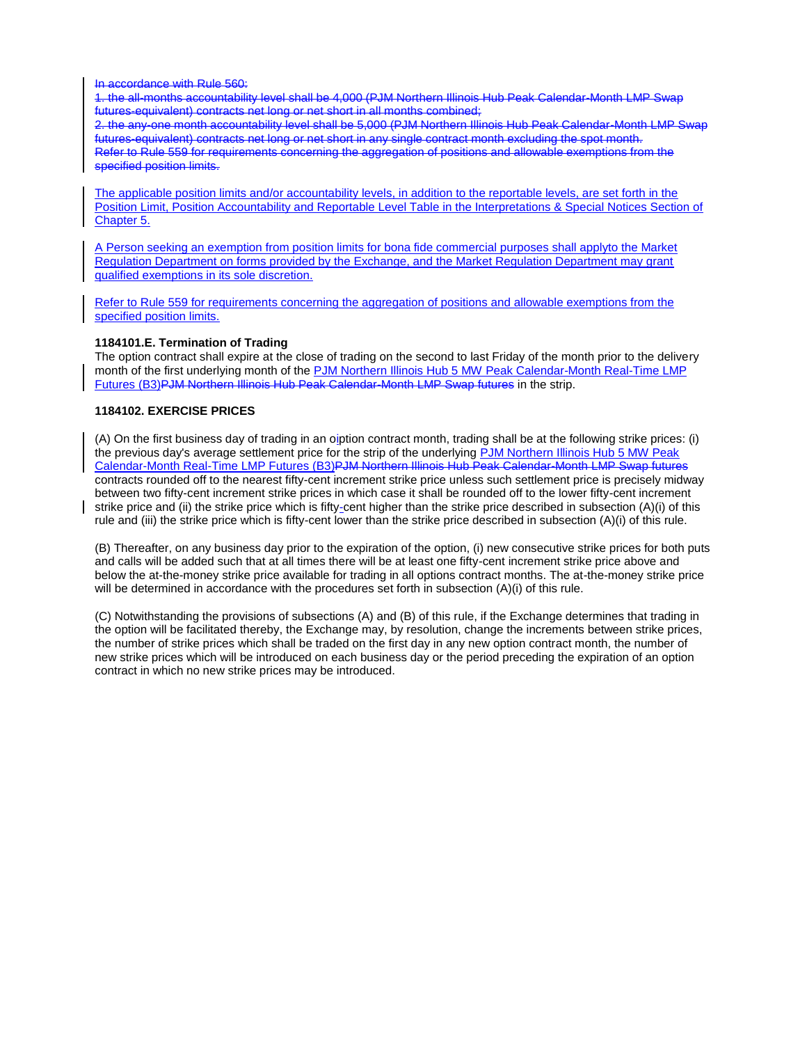In accordance with Rule 560:

1. the all-months accountability level shall be 4,000 (PJM Northern Illinois Hub Peak Calendar-Month LMP Swap futures-equivalent) contracts net long or net short in all months combined;

2. the any-one month accountability level shall be 5,000 (PJM Northern Illinois Hub Peak Calendar-Month LMP Swap futures-equivalent) contracts net long or net short in any single contract month excluding the spot month. Refer to Rule 559 for requirements concerning the aggregation of positions and allowable exemptions from the specified position limits.

The applicable position limits and/or accountability levels, in addition to the reportable levels, are set forth in the Position Limit, Position Accountability and Reportable Level Table in the Interpretations & Special Notices Section of Chapter 5.

A Person seeking an exemption from position limits for bona fide commercial purposes shall applyto the Market Regulation Department on forms provided by the Exchange, and the Market Regulation Department may grant qualified exemptions in its sole discretion.

Refer to Rule 559 for requirements concerning the aggregation of positions and allowable exemptions from the specified position limits.

# **1184101.E. Termination of Trading**

The option contract shall expire at the close of trading on the second to last Friday of the month prior to the delivery month of the first underlying month of the PJM Northern Illinois Hub 5 MW Peak Calendar-Month Real-Time LMP Futures (B3)PJM Northern Illinois Hub Peak Calendar-Month LMP Swap futures in the strip.

# **1184102. EXERCISE PRICES**

(A) On the first business day of trading in an oiption contract month, trading shall be at the following strike prices: (i) the previous day's average settlement price for the strip of the underlying PJM Northern Illinois Hub 5 MW Peak Calendar-Month Real-Time LMP Futures (B3)PJM Northern Illinois Hub Peak Calendar-Month LMP Swap futures contracts rounded off to the nearest fifty-cent increment strike price unless such settlement price is precisely midway between two fifty-cent increment strike prices in which case it shall be rounded off to the lower fifty-cent increment strike price and (ii) the strike price which is fifty-cent higher than the strike price described in subsection (A)(i) of this rule and (iii) the strike price which is fifty-cent lower than the strike price described in subsection (A)(i) of this rule.

(B) Thereafter, on any business day prior to the expiration of the option, (i) new consecutive strike prices for both puts and calls will be added such that at all times there will be at least one fifty-cent increment strike price above and below the at-the-money strike price available for trading in all options contract months. The at-the-money strike price will be determined in accordance with the procedures set forth in subsection (A)(i) of this rule.

(C) Notwithstanding the provisions of subsections (A) and (B) of this rule, if the Exchange determines that trading in the option will be facilitated thereby, the Exchange may, by resolution, change the increments between strike prices, the number of strike prices which shall be traded on the first day in any new option contract month, the number of new strike prices which will be introduced on each business day or the period preceding the expiration of an option contract in which no new strike prices may be introduced.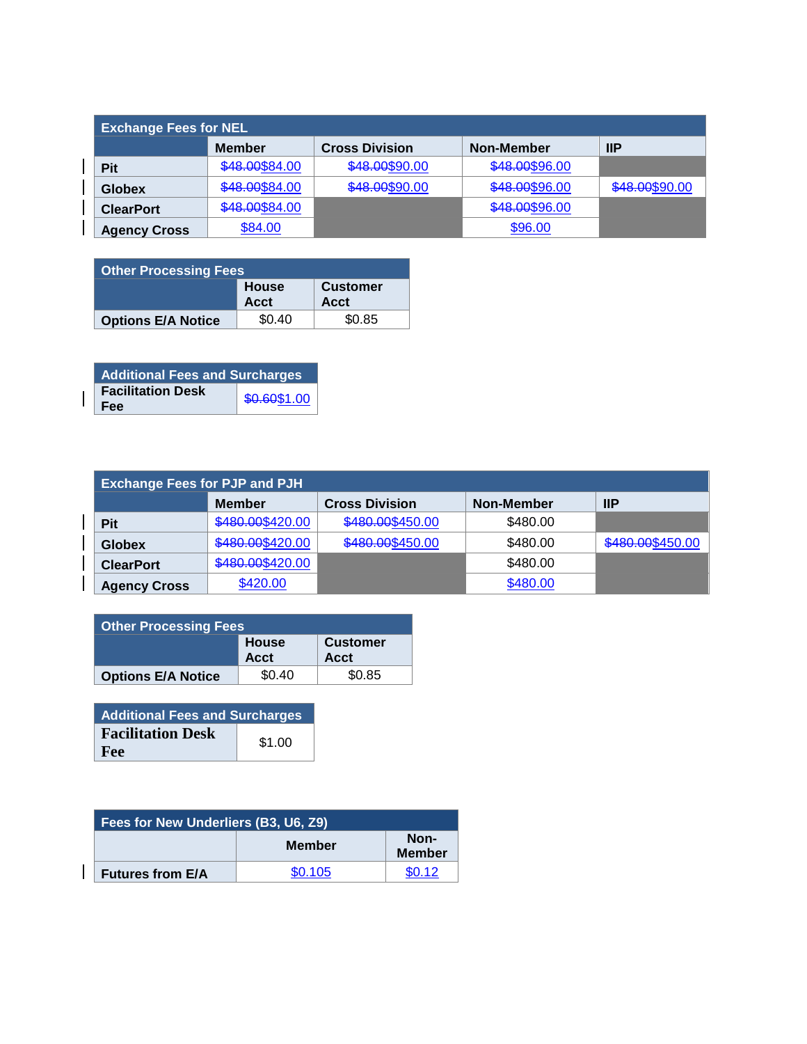| <b>Exchange Fees for NEL</b> |                |                       |                |                |  |
|------------------------------|----------------|-----------------------|----------------|----------------|--|
|                              | <b>Member</b>  | <b>Cross Division</b> | Non-Member     | IP             |  |
| <b>Pit</b>                   | \$48.00\$84.00 | \$48.00\$90.00        | \$48.00\$96.00 |                |  |
| <b>Globex</b>                | \$48.00\$84.00 | \$48.00\$90.00        | \$48.00\$96.00 | \$48.00\$90.00 |  |
| <b>ClearPort</b>             | \$48.00\$84.00 |                       | \$48.00\$96.00 |                |  |
| <b>Agency Cross</b>          | \$84.00        |                       | \$96.00        |                |  |

| <b>Other Processing Fees</b> |                      |                         |  |
|------------------------------|----------------------|-------------------------|--|
|                              | <b>House</b><br>Acct | <b>Customer</b><br>Acct |  |
| <b>Options E/A Notice</b>    | \$0.40               | \$0.85                  |  |

| <b>Additional Fees and Surcharges</b> |              |  |
|---------------------------------------|--------------|--|
| <b>Facilitation Desk</b><br>Fee       | \$0.60\$1.00 |  |

 $\mathbf{I}$ 

| <b>Exchange Fees for PJP and PJH</b> |                  |                       |            |                  |  |
|--------------------------------------|------------------|-----------------------|------------|------------------|--|
|                                      | <b>Member</b>    | <b>Cross Division</b> | Non-Member | $\mathsf{IIP}$   |  |
| Pit                                  | \$480.00\$420.00 | \$480.00\$450.00      | \$480.00   |                  |  |
| <b>Globex</b>                        | \$480.00\$420.00 | \$480.00\$450.00      | \$480.00   | \$480.00\$450.00 |  |
| <b>ClearPort</b>                     | \$480.00\$420.00 |                       | \$480.00   |                  |  |
| <b>Agency Cross</b>                  | \$420.00         |                       | \$480.00   |                  |  |

| <b>Other Processing Fees</b> |                      |                         |  |
|------------------------------|----------------------|-------------------------|--|
|                              | <b>House</b><br>Acct | <b>Customer</b><br>Acct |  |
| <b>Options E/A Notice</b>    | \$0.40               | \$0.85                  |  |

| <b>Additional Fees and Surcharges</b> |        |  |
|---------------------------------------|--------|--|
| <b>Facilitation Desk</b>              | \$1.00 |  |
| Fee                                   |        |  |

| Fees for New Underliers (B3, U6, Z9) |               |                       |  |
|--------------------------------------|---------------|-----------------------|--|
|                                      | <b>Member</b> | Non-<br><b>Member</b> |  |
| <b>Futures from E/A</b>              | \$0.105       | \$0.12                |  |